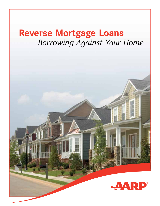# **Reverse Mortgage Loans** *Borrowing Against Your Home*

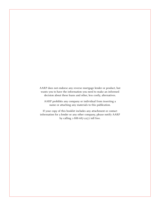AARP does not endorse any reverse mortgage lender or product, but wants you to have the information you need to make an informed decision about these loans and other, less costly, alternatives.

AARP prohibits any company or individual from inserting a name or attaching any materials to this publication.

If your copy of this booklet includes any attachment or contact information for a lender or any other company, please notify AARP by calling 1-888-687-2277 toll free.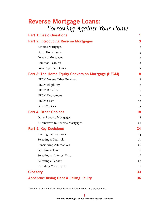| <b>Reverse Mortgage Loans:</b>     |
|------------------------------------|
| <b>Borrowing Against Your Home</b> |

| <b>Part 1: Basic Questions</b>                     | 1  |
|----------------------------------------------------|----|
| <b>Part 2: Introducing Reverse Mortgages</b>       | 3  |
| Reverse Mortgages                                  | 3  |
| Other Home Loans                                   | 3  |
| <b>Forward Mortgages</b>                           | 3  |
| <b>Common Features</b>                             | 5  |
| Loan Types and Costs                               | 7  |
| Part 3: The Home Equity Conversion Mortgage (HECM) | 8  |
| <b>HECM Versus Other Reverses</b>                  | 8  |
| <b>HECM</b> Eligibility                            | 8  |
| <b>HECM</b> Benefits                               | 9  |
| <b>HECM</b> Repayment                              | 12 |
| <b>HECM</b> Costs                                  | 12 |
| Other Choices                                      | 17 |
| <b>Part 4: Other Choices</b>                       | 18 |
| Other Reverse Mortgages                            | 18 |
| Alternatives to Reverse Mortgages                  | 21 |
| <b>Part 5: Key Decisions</b>                       | 24 |
| Sharing the Decisions                              | 24 |
| Selecting a Counselor                              | 25 |
| <b>Considering Alternatives</b>                    | 26 |
| Selecting a Time                                   | 26 |
| Selecting an Interest Rate                         | 26 |
| Selecting a Lender                                 | 28 |
| Spending Your Equity                               | 29 |
| <b>Glossary</b>                                    | 33 |
| <b>Appendix: Rising Debt &amp; Falling Equity</b>  | 36 |

\*An online version of this booklet is available at [www.aarp.org/revmort.](www.aarp.org/revmort)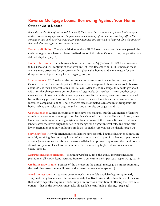## **Reverse Mortgage Loans: Borrowing Against Your Home October 2010 Update**

*Since the publication of this booklet in 2008, there have been a number of important changes in the reverse mortgage world. The following is a summary of these issues, as they affect the content of this book as of October 2010. Page numbers are provided to help you find the areas of the book that are affected by these changes.*

**Property eligibility:** Though legislation to allow HECM loans on cooperatives was passed, the enabling regulations have not been finalized, so as of this time (October 2010), cooperatives are still not eligible. (page 8)

**Home value limits:** The nationwide home value limit of \$417,000 on HECM loans was raised to \$625,500 and will continue at that level until at least December 2011. This increase made HECMs more attractive for borrowers with higher value homes, and is one reason for the disappearance of proprietary loans. (pages 9, 26, 32)

**Loan amounts:** HUD reduced the percentages of home value that can be borrowed, as of October 1, 2009. For example, prior to October 2009, a 62-year-old homeowner could borrow about 62% of their home value in a HECM loan. After the 2009 change, they could get about 56%. Similar changes were put in place at all age levels. On October 4, 2010, another set of changes went into effect, with more complicated results. In general, loan limits were reduced by another 1-5 percent. However, for some borrowers with low interest rates, loan amounts increased compared to 2009. These changes affect estimated loan amounts throughout this book, such as the tables on page 10 and 11, and examples on pages 9 and 15.

**Origination fee:** Limits on origination fees have not changed, but the willingness of lenders to reduce or even eliminate origination fees has changed dramatically. Since April 2010, some lenders are waiving or reducing origination fees on many of their loans. Be aware that some lenders offer the lower origination fee in exchange for a higher interest rate, and some offer lower origination fees only on lump-sum loans, so make sure you get the details. (page 13)

**Servicing fees:** As with origination fees, lenders have recently begun reducing or eliminating monthly servicing fees on many loans. When comparison shopping for a lender, it pays to ask about a \$0 service fee, as this can increase available loan proceeds by several thousand dollars. As with origination fees, lower service fees may be offset by higher interest rates in some cases. (page 14)

**Mortgage insurance premiums:** Beginning October 4, 2010, the annual mortgage insurance premium on all HECM loans increased from 0.5% per year to 1.25% per year. (pages 13, 14, 15, 16)

**Creditline growth rate:** Because of the increase in the annual mortgage insurance premium, the creditline growth rate will now be the interest rate  $+$  1.25%. (page 10)

**Fixed interest rates:** Fixed rates became much more widely available beginning in early 2009, and many lenders are offering moderately low fixed rates at this time. It is still the case that lenders typically require a 100% lump sum draw as a condition of offering the fixed rate option —that is, the borrower must take all available loan funds at closing. (page 27)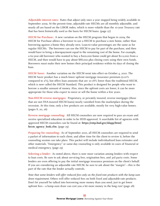**Adjustable interest rates:** Rates that adjust only once a year stopped being widely available in September 2009. At the present time, adjustable-rate HECMs are all monthly adjustable, and nearly all are based on the LIBOR index, which is more volatile than the 10-year Treasury rate that has been historically used as the basis for HECM loans. (page 27)

**HECM for Purchase:** A new variation on the HECM program that began in 2009, the HECM for Purchase allows a borrower to use a HECM to purchase a new home, rather than borrowing against a home they already own. Loan-to-value percentages are the same as for regular HECMs. The borrower can use the HECM to pay for part of the purchase, and then would have to bring a downpayment equal to the remaining cost of the home. For example, a 62-year-old borrower who wanted to buy a \$200,000 home could get about \$112,000 from a HECM, and then would have to pay about \$88,000 plus closing costs using their own funds. Borrowers must make their new homes their principal residence within 60 days of closing the loan.

**HECM Saver:** Another variation on the HECM went into effect on October 4, 2010. The HECM Saver product has a much lower upfront mortgage insurance premium (0.01% compared to 2%), but offers loan amounts that are 10-18% lower than the traditional HECM, which is now called the HECM Standard. This product is designed for people who want to borrow a smaller amount of money. Also, since the upfront costs are lower, it can be more appropriate for those who expect to move or sell the home within a few years.

**Non-HECM reverse mortgages:** Proprietary, or privately insured, reverse mortgages (those that are not FHA-insured HECM loans) nearly vanished from the marketplace during the recession. At this time, only a few products are available, mostly for very high-value homes. (pages 8, 20, 26)

**Reverse mortgage counseling:** All HECM counselors are now required to pass an exam and receive specialized education in order to be HUD-approved. A searchable list of agencies with approved HECM counselors can be found at: **[https://entp.hud.gov/idapp/html/](https://entp.hud.gov/idapp/html/hecm_agency_look.cfm) [hecm\\_agency\\_look.cfm](https://entp.hud.gov/idapp/html/hecm_agency_look.cfm)**. (page 25)

**Preparing for counseling:** As of September 2010, all HECM counselors are required to send a packet of information to each client, and allow time for the client to review it, before the counseling session can take place. This packet will include individualized loan estimates and other materials. "Emergency" or same-day counseling is only available in cases of financial or medical emergency. (page 25)

**Selecting a lender:** As noted above, there is now more variation among lenders with respect to loan costs. Be sure to ask about servicing fees, origination fees, and 3rd party costs. Some lenders are even offering to pay the initial mortgage insurance premium on the client's behalf. If you are considering an adjustable rate HECM, be sure to ask about the "margin"—this is the part of the rate that the lender actually controls.

*Note that some lenders will offer reduced fees only on the fixed-rate products with the lump-sum draw requirement.* Others will offer reduced fees on both fixed and adjustable-rate products. Don't let yourself be talked into borrowing more money than you need, just to get lower upfront fees—a lump-sum draw can cost you a lot more money in the long run! (page 28)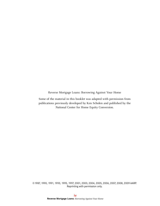Reverse Mortgage Loans: Borrowing Against Your Home

Some of the material in this booklet was adapted with permission from publications previously developed by Ken Scholen and published by the National Center for Home Equity Conversion.

©1987, 1990, 1991, 1993, 1995, 1997, 2001, 2003, 2004, 2005, 2006, 2007, 2008, 2009 AARP. Reprinting with permission only.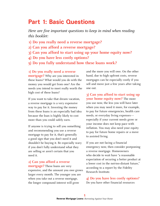## **Part 1: Basic Questions**

*Here are five important questions to keep in mind when reading this booklet:* 

- **1) Do you really need a reverse mortgage?**
- **2) Can you afford a reverse mortgage?**
- **3) Can you afford to start using up your home equity now?**
- **4) Do you have less costly options?**
- **5) Do you fully understand how these loans work?**

#### **1) Do you really need a reverse**

**mortgage?** Why are you interested in these loans? What would you do with the money you would get from one? Are the needs you intend to meet really worth the high cost of these loans?

If you want to take that dream vacation, a reverse mortgage is a very expensive way to pay for it. Investing the money from these loans is an especially bad idea because the loan is highly likely to cost more than you could safely earn.

If anyone is trying to sell you something and recommending you use a reverse mortgage to pay for it, that's generally a good sign that you don't need it and shouldn't be buying it. Be especially wary if you don't fully understand what they are selling or aren't certain that you need it.

#### **2) Can you afford a reverse**

**mortgage?** These loans are very expensive, and the amount you owe grows larger every month. The younger you are when you take out a reverse mortgage, the longer compound interest will grow

and the more you will owe. On the other hand, due to high upfront costs, reverse mortgages can be especially costly if you sell and move just a few years after taking one out.

**3) Can you afford to start using up your home equity now?** The more you use now, the less you will have later when you may need it more, for example, to pay for future emergencies, health care needs, or everyday living expenses especially if your current needs grow or your income does not keep pace with inflation. You may also need your equity to pay for future home repairs or a move to assisted living.

If you are not facing a financial emergency now, then consider postponing a reverse mortgage. Homeowners who decide to wait have "a reasonable expectation of securing a better product at a lower cost in the not-too-distant future," according to a report by the Fidelity Research Institute.

**4) Do you have less costly options?**  Do you have other financial resources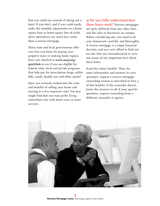that you could use instead of taking out a loan? If you don't, and if you could easily make the monthly repayments on a home equity loan or home equity line-of-credit, these alternatives are much less costly than a reverse mortgage.

Many state and local governments offer very low-cost loans for paying your property taxes or making home repairs. Have you checked at **[www.aarp.org/](www.aarp.org/quicklink) [quicklink](www.aarp.org/quicklink)** to see if you are eligible for federal, state, local and private programs that help pay for prescription drugs, utility bills, meals, health care and other needs?

Have you seriously looked into the costs and benefits of selling your home and moving to a less expensive one? You just might find that you may prefer living somewhere else with lower costs or more services.

**5) Do you fully understand how these loans work?** Reverse mortgages are quite different from any other loan, and the risks to borrowers are unique. Before considering one, you need to do your homework carefully and thoroughly. A reverse mortgage is a major financial decision, and you can't afford to find out too late that you misunderstood or were not aware of any important facts about these loans.

Read this entire booklet. Then, for more information and answers to your questions, request a reverse mortgage counseling session as described in Part 5 of this booklet. If the counselor doesn't know the answers to all of your specific questions, request counseling from a different counselor or agency.

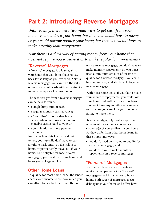## **Part 2: Introducing Reverse Mortgages**

*Until recently, there were two main ways to get cash from your home: you could sell your home, but then you would have to move; or you could borrow against your home, but then you would have to make monthly loan repayments.* 

*Now there is a third way of getting money from your home that does not require you to leave it or to make regular loan repayments.* 

## **"Reverse" Mortgages**

A "reverse" mortgage is a loan against your home that you do not have to pay back for as long as you live there. With a reverse mortgage, you can turn the value of your home into cash without having to move or to repay a loan each month.

The cash you get from a reverse mortgage can be paid to you as:

- a single lump sum of cash;
- a regular monthly cash advance;
- a "creditline" account that lets you decide when and how much of your available cash is paid to you; or
- a combination of these payment methods.

No matter how this loan is paid out to you, you typically don't have to pay anything back until you die, sell your home, or permanently move out of your home. To be eligible for most reverse mortgages, you must own your home and be 62 years of age or older.

#### **Other Home Loans**

To qualify for most home loans, the lender checks your income to see how much you can afford to pay back each month. But

with a reverse mortgage, you don't have to make monthly repayments. So you don't need a minimum amount of income to qualify for a reverse mortgage. You could have no income, and still be able to get a reverse mortgage.

With most home loans, if you fail to make your monthly repayments, you could lose your home. But with a reverse mortgage, you don't have any monthly repayments to make, so you can't lose your home by failing to make them.

Reverse mortgages typically require no repayment for as long as you—or any co-owner(s) of yours—live in your home. So they differ from other home loans in these important ways:

- you don't need an income to qualify for a reverse mortgage; and
- you don't have to make monthly repayments on a reverse mortgage.

#### **"Forward" Mortgages**

You can see how a reverse mortgage works by comparing it to a "forward" mortgage—the kind you use to buy a home. Both types of mortgages create debt against your home and affect how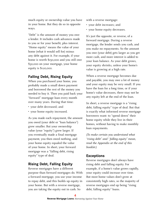much equity or ownership value you have in your home. But they do so in opposite ways.

"Debt" is the amount of money you owe a lender. It includes cash advances made to you or for your benefit, plus interest. "Home equity" means the value of your home (what it would sell for) minus any debt against it. For example, if your home is worth \$150,000 and you still owe \$30,000 on your mortgage, your home equity is \$120,000.

## **Falling Debt, Rising Equity**

When you purchased your home, you probably made a small down payment and borrowed the rest of the money you needed to buy it. Then you paid back your "forward" mortgage loan every month over many years. During that time:

- • your debt decreased; and
- your home equity increased.

As you made each repayment, the amount you owed (your debt or "loan balance") grew smaller. But your ownership value (your "equity") grew larger. If you eventually made a final mortgage payment, you then owed nothing, and your home equity equaled the value of your home. In short, your forward mortgage was a "falling debt, rising equity" type of deal.

## **Rising Debt, Falling Equity**

Reverse mortgages have a different purpose than forward mortgages do. With a forward mortgage, you use your income to repay debt, and this builds up equity in your home. But with a reverse mortgage, you are taking the equity out in cash. So

with a reverse mortgage:

- your debt increases; and
- your home equity decreases.

It's just the opposite, or reverse, of a forward mortgage. During a reverse mortgage, the lender sends you cash, and you make no repayments. So the amount you owe (your debt) gets larger as you get more cash, and more interest is added to your loan balance. As your debt grows, your equity shrinks, unless your home's value is growing at a high rate.

When a reverse mortgage becomes due and payable, you may owe a lot of money and your equity may be very small. If you have the loan for a long time, or if your home's value decreases, there may not be any equity left at the end of the loan.

In short, a reverse mortgage is a "rising debt, falling equity" type of deal. But that is exactly what informed reverse mortgage borrowers want: to "spend down" their home equity while they live in their homes, without having to make monthly loan repayments.

*(To make certain you understand what "rising debt" and " falling equity" mean, read the Appendix at the end of this booklet.)* 

## **Exceptions**

Reverse mortgages don't always have rising debt and falling equity. For example, if a home's value grows rapidly, your equity could increase over time. But most home values don't grow at consistently high rates, so the majority of reverse mortgages end up being "rising debt, falling equity" loans.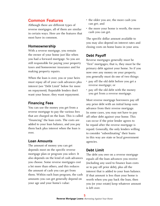## **Common Features**

Although there are different types of reverse mortgages, all of them are similar in certain ways. Here are the features that most have in common.

#### **Homeownership**

With a reverse mortgage, you remain the owner of your home just like when you had a forward mortgage. So you are still responsible for paying your property taxes and homeowner insurance and for making property repairs.

When the loan is over, you or your heirs must repay all of your cash advances plus interest (see "Debt Limit" below for more on repayment). Reputable lenders don't want your house; they want repayment.

#### **Financing Fees**

You can use the money you get from a reverse mortgage to pay the various fees that are charged on the loan. This is called "financing" the loan costs. The costs are added to your loan balance, and you pay them back plus interest when the loan is over.

#### **Loan Amounts**

The amount of money you can get depends most on the specific reverse mortgage plan or program you select. It also depends on the kind of cash advances you choose. Some reverse mortgages cost a lot more than others, and this reduces the amount of cash you can get from them. Within each loan program, the cash amounts you can get generally depend on your age and your home's value:

- the older you are, the more cash you can get; and
- the more your home is worth, the more cash you can get.

The specific dollar amount available to you may also depend on interest rates and closing costs on home loans in your area.

#### **Debt Payoff**

Reverse mortgages generally must be "first" mortgages; that is, they must be the primary debt against your home. So if you now owe any money on your property, you generally must do one of two things:

- pay off the old debt before you get a reverse mortgage; or
- pay off the old debt with the money you get from a reverse mortgage.

Most reverse mortgage borrowers pay off any prior debt with an initial lump sum advance from their reverse mortgage. In some cases, you may not have to pay off other debt against your home. This can occur if the prior lender agrees to be repaid after the reverse mortgage is repaid. Generally, the only lenders willing to consider "subordinating" their loans in this way are state or local government agencies.

#### **Debt Limit**

The debt you owe on a reverse mortgage equals all the loan advances you receive (including any used to finance loan costs or to pay off prior debt), plus all the interest that is added to your loan balance. If that amount is less than your home is worth when you pay back the loan, then you (or your estate) keep whatever amount is left over.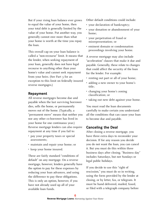But if your rising loan balance ever grows to equal the value of your home, then your total debt is generally limited by the value of your home. Put another way, you generally cannot owe more than what your home is worth at the time you repay the loan.

This overall cap on your loan balance is called a "non-recourse" limit. It means that the lender, when seeking repayment of your loan, generally does not have legal recourse to anything other than your home's value and cannot seek repayment from your heirs. (See Part 3 for an exception to this limit on federally insured reverse mortgages.)

#### **Repayment**

All reverse mortgages become due and payable when the last surviving borrower dies, sells the home, or permanently moves out of the home. (Typically, a "permanent move" means that neither you nor any other co-borrower has lived in your home for one continuous year.) Reverse mortgage lenders can also require repayment at any time if you fail to:

- pay your property taxes or special assessments;
- maintain and repair your home; or
- keep your home insured.

These are fairly standard "conditions of default" on any mortgage. On a reverse mortgage, however, lenders generally have the option to pay for these expenses by reducing your loan advances, and using the difference to pay these obligations. This is only an option, however, if you have not already used up all of your available loan funds.

Other default conditions could include:

- your declaration of bankruptcy;
- your donation or abandonment of your home;
- your perpetration of fraud or misrepresentation; or
- eminent domain or condemnation proceedings involving your home.

A reverse mortgage may also include "acceleration" clauses that make it due and payable. Generally, these relate to changes that could affect the security of the loan for the lender. For example:

- renting out part or all of your home;
- adding a new owner to your home's title;
- changing your home's zoning classification; or
- taking out new debt against your home.

You must read the loan documents carefully to make certain you understand all the conditions that can cause your loan to become due and payable.

#### **Canceling the Deal**

After closing a reverse mortgage, you have three extra days to reconsider your decision. If for any reason you decide you do not want the loan, you can cancel it. But you must do this within three business days after closing. "Business day" includes Saturdays, but not Sundays or legal public holidays.

If you decide to use this "right of rescission," you must do so in writing, using the form provided by the lender at closing, or by letter, fax, or telegram. It must be hand delivered, mailed, faxed, or filed with a telegraph company before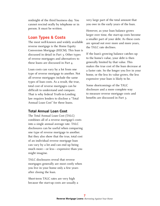midnight of the third business day. You cannot rescind orally by telephone or in person. It must be written.

## **Loan Types & Costs**

The most well-known and widely available reverse mortgage is the Home Equity Conversion Mortgage (HECM). This loan is discussed in detail in Part 3. Other types of reverse mortgages and alternatives to these loans are discussed in Part 4.

Loan costs can vary by a lot from one type of reverse mortgage to another. Not all reverse mortgages include the same types of loan costs. As a result, the true, total cost of reverse mortgages can be difficult to understand and compare. That is why federal Truth-in-Lending law requires lenders to disclose a "Total Annual Loan Cost" for these loans.

## **Total Annual Loan Cost**

The Total Annual Loan Cost (TALC) combines all of a reverse mortgage's costs into a single annual average rate. TALC disclosures can be useful when comparing one type of reverse mortgage to another. But they also show that the true, total cost of an individual reverse mortgage loan can vary by a lot and can end up being much more—or less—expensive than you might imagine.

TALC disclosures reveal that reverse mortgages generally are most costly when you live in your home only a few years after closing the loan.

Short-term TALC rates are very high because the start-up costs are usually a very large part of the total amount that you owe in the early years of the loan.

However, as your loan balance grows larger over time, the start-up costs become a smaller part of your debt. As these costs are spread out over more and more years, the TALC rate declines.

If the loan's growing balance catches up to the home's value, your debt is then generally limited by that value. This makes the true cost of the loan decrease at a faster rate. So the longer you live in your home, or the less its value grows, the less expensive your loan is likely to be.

Some shortcomings of the TALC disclosure and a more complete way to measure reverse mortgage costs and benefits are discussed in Part 3.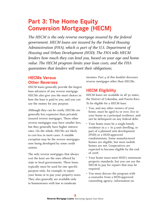## **Part 3: The Home Equity Conversion Mortgage (HECM)**

*The HECM is the only reverse mortgage insured by the federal government. HECM loans are insured by the Federal Housing Administration (FHA), which is part of the U.S. Department of Housing and Urban Development (HUD). The FHA tells HECM lenders how much they can lend you, based on your age and home value. The HECM program limits your loan costs, and the FHA guarantees that lenders will meet their obligations.* 

## **HECMs Versus Other Reverses**

HECM loans generally provide the largest loan advances of any reverse mortgage. HECMs also give you the most choices in how the loan is paid to you, and you can use the money for any purpose.

Although they can be costly, HECMs are generally less expensive than privately insured reverse mortgages. These other reverse mortgages may have smaller fees, but they generally have higher interest rates. On the whole, HECMs are likely to cost less in most cases. A notable exception may be the reverse mortgages now being developed by some credit unions.

The only reverse mortgages that always cost the least are the ones offered by state or local governments. These loans typically must be used for one specific purpose only; for example, to repair your home or to pay your property taxes. They also generally are available only to homeowners with low to moderate

incomes. Part 4 of this booklet discusses reverse mortgages other than HECMs.

## **HECM Eligibility**

HECM loans are available in all 50 states, the District of Columbia, and Puerto Rico. To be eligible for a HECM loan:

- You, and any other owners of your home, must be aged 62 or over, live in your home as a principal residence, and not be delinquent on any federal debt.
- Your home must be a single-family residence in a 1- to 4-unit dwelling, or part of a planned unit development (PUD) or a HUD-approved condominium. Some manufactured homes are eligible, but most mobile homes are not. Cooperatives are expected to become eligible by the end of 2008.
- Your home must meet HUD's minimum property standards, but you can use the HECM to pay for repairs that may be required.
- You must discuss the program with a counselor from a HUD-approved counseling agency; information on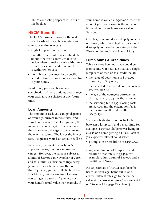HECM counseling appears in Part 5 of this booklet.

## **HECM Benefits**

The HECM program provides the widest array of cash advance choices. You can take your entire loan as a:

- single lump sum of cash; or
- "creditline" account of a specific dollar amount that you control, that is, you decide when to make a cash withdrawal from this account, and how much cash to withdraw; or as a
- monthly cash advance for a specific period of time, or for as long as you live in your home.

In addition, you can choose any combination of these options, and change your cash advance choices at any future time.

## **Loan Amounts**

The amount of cash you can get depends on your age, current interest rates, and your home's value. The older you are, the more cash you can get. If there is more than one owner, the age of the youngest is the one that counts. The lower the interest rate, the greater your loan amount will be.

In general, the greater your home's appraised value, the more money you can get. However, the value is subject to a limit of \$417,000 in November of 2008, and this limit is subject to change every January. If your home is worth more than \$417,000, you are still eligible for an HECM loan, but the amount of money you can get is based on \$417,000, not on your home's actual value. For example, if

your home is valued at \$500,000, then the amount you can borrow is the same as it would be if your home were valued at \$417,000.

(The \$417,000 limit does not apply to parts of Hawaii, which have higher limits. But it does apply to the other 49 states plus the District of Columbia and Puerto Rico.)

## **Lump Sums & Creditlines**

Table 1 shows how much you could get from a HECM if you take it all as a single lump sum of cash or as a creditline, if:

- the value of your home is \$150,000, \$250,000, or \$350,000;
- the expected interest rate on the loan is 6%, 7%, or 8%;
- the age of the youngest borrower at closing is 65, 70, 75, 80, 85, or 90; and
- $\cdot$  the servicing fee is \$35, closing costs are \$2,500, and the origination fee is the maximum allowed by HUD (see p. 13).

You can divide the amounts in Table 1 between a lump sum and a creditline. For example, a 75-year-old borrower living in a \$250,000 home getting a HECM loan at 7% expected interest could select:

- a lump sum or creditline of  $$135,484$ ; or
- any combination of lump sum and creditline that totals \$135,484, for example, a lump sum of \$30,000 and a creditline of \$105,484.

For an estimate of HECM cash benefits based on your age, home value, and current interest rates, go to the online calculator at **[www.aarp.org/revmort](http://rmc.ibisreverse.com/rmc_pages/rmc_aarp/aarp_index.aspx)** (click on "[Reverse Mortgage Calculator"](http://rmc.ibisreverse.com/rmc_pages/rmc_aarp/aarp_index.aspx)).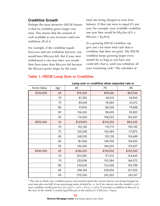#### **Creditline Growth**

Perhaps the most attractive HECM feature is that its creditline grows larger over time. This means that the amount of cash available to you increases until you withdraw all of it.

For example, if the creditline equals \$100,000 and you withdraw \$20,000, you would have \$80,000 left. But if your next withdrawal is one year later, you would then have more than \$80,000 left because the \$80,000 grows larger by the same

total rate being charged on your loan balance. If that rate were to equal 6% per year, for example, your available creditline one year later would be \$84,800 (6% x  $$80,000 = $4,800$ .

So a growing HECM creditline can give you a lot more total cash than a creditline that does not grow. The HECM creditline keeps growing larger every month for as long as you have any credit left; that is, until you withdraw all your remaining cash.\* The calculator at

#### **Table 1: HECM Lump Sum or Creditline**

|            | Lump sum or creatume when expected rate is |           |           |           |  |
|------------|--------------------------------------------|-----------|-----------|-----------|--|
| Home Value | Age                                        | 6%        | 7%        | 8%        |  |
| \$150,000  | 65                                         | \$74,325  | \$59,626  | \$47,530  |  |
|            | 70                                         | 81,782    | 68,513    | 56,965    |  |
|            | 75                                         | 89,638    | 78,084    | 67,672    |  |
|            | 80                                         | 97,930    | 88,228    | 79,088    |  |
|            | 85                                         | 106,260   | 98,400    | 90,820    |  |
|            | 90                                         | 114,250   | 108,233   | 102,207   |  |
| \$250,000  | 65                                         | \$129,925 | \$105,026 | \$84,530  |  |
|            | 70                                         | 142,182   | 119,713   | 100,165   |  |
|            | 75                                         | 155,038   | 135,484   | 117,872   |  |
|            | 80                                         | 168,530   | 152,128   | 136,688   |  |
|            | 85                                         | 181,960   | 168,700   | 155,920   |  |
|            | 90                                         | 194,650   | 184,533   | 174,407   |  |
| \$350,000  | 65                                         | \$186,025 | \$150,926 | \$122,030 |  |
|            | 70                                         | 203,082   | 171,413   | 143,865   |  |
|            | 75                                         | 220,938   | 193,384   | 168,572   |  |
|            | 80                                         | 239,630   | 216,528   | 194,788   |  |
|            | 85                                         | 258,160   | 239,500   | 221,520   |  |
|            | 90                                         | 275,550   | 261,333   | 247,107   |  |

**Lump sum or creditline when expected rate is**

\* The rate at which your creditline grows each month equals the current interest rate being charged on your loan plus one-half of one percentage point, divided by 12. So if the interest rate this month is 5.5%, your creditline would grow by 0.5% (5.5% + 0.5% =  $6\frac{6}{12}$  = 0.5%). If you had a creditline of \$80,000 at the start of the month, it would equal  $$80,400$  at the end  $(0.5\%$  X  $$80,000 = $400$ .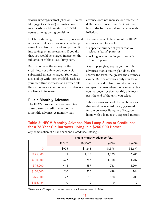**[www.aarp.org/revmort](http://rmc.ibisreverse.com/rmc_pages/rmc_aarp/aarp_index.aspx)** (click on "[Reverse](http://rmc.ibisreverse.com/rmc_pages/rmc_aarp/aarp_index.aspx)  [Mortgage Calculator"](http://rmc.ibisreverse.com/rmc_pages/rmc_aarp/aarp_index.aspx)) estimates how much cash would remain in a HECM versus a non-growing creditline.

HECM creditline growth means you should not even think about taking a large lump sum of cash from a HECM and putting it into savings or an investment. If you did that, you would be charged interest on the full amount of the HECM lump sum.

But if you leave the money in the creditline, not only would you avoid substantial interest charges. You would also end up with more available cash, as your creditline increases at a greater rate than a savings account or safe investments are likely to increase.

## **Plus a Monthly Advance**

The HECM program lets you combine a lump sum, a creditline, or both with a monthly advance. A monthly loan

advance does not increase or decrease in dollar amount over time. So it will buy less in the future as prices increase with inflation.

You can choose to have monthly HECM advances paid to you for:

- a specific number of years that you select (a "term" plan); or
- as long as you live in your home (a "tenure" plan).

A term plan gives you larger monthly advances than a tenure plan does. The shorter the term, the greater the advances can be. But the advances only run for a specific period of time. You do not have to repay the loan when the term ends, but you no longer receive monthly advances past the end of the term you select.

Table 2 shows some of the combinations that could be selected by a 75-year-old female borrower living in a \$250,000 home with a loan at 7% expected interest

## **Table 2: HECM Monthly Advance Plus Lump Sums or Creditlines for a 75-Year-Old Borrower Living in a \$250,000 Home\***

|                | plus a monthly advance for |          |          |          |  |  |  |
|----------------|----------------------------|----------|----------|----------|--|--|--|
|                | tenure                     | 15 years | 10 years | 5 years  |  |  |  |
| $\overline{0}$ | \$995                      | \$1,248  | \$1,598  | \$2,697  |  |  |  |
| \$25,000       | 811                        | 1,017    | 1,303    | 2,200    |  |  |  |
| \$50,000       | 627                        | 787      | 1,008    | 1,702    |  |  |  |
| \$75,000       | 444                        | 557      | 713      | 1,204    |  |  |  |
| \$100,000      | 260                        | 326      | 418      | 706      |  |  |  |
| \$125,000      | 77                         | 96       | 123      | 208      |  |  |  |
| \$135,484      | $\Omega$                   | $\Omega$ | 0        | $\Omega$ |  |  |  |

Any combination of a lump sum and a creditline totaling...

\*Based on a 7% expected interest rate and the loan costs used in Table 1.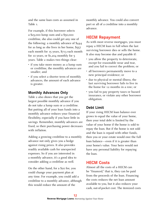and the same loan costs as assumed in Table 1.

For example, if this borrower selects a \$25,000 lump sum and a \$50,000 creditline, she also could get any one of the following: a monthly advance of \$444 for as long as she lives in her home, \$557 each month for 15 years, \$713 each month for 10 years, or \$1,204 monthly for 5 years. Table 2 makes two things clear:

- if you take more money as a lump sum or creditline, the monthly advances are smaller; and
- if you select a shorter term of monthly advances, the amount of each advance is greater.

## **Monthly Advances Only**

Table 2 also shows that you get the largest possible monthly advance if you do not take a lump sum or a creditline. But putting all of your loan funds into a monthly advance reduces your financial flexibility, especially if you have little in savings. Remember, monthly advances are fixed, so their purchasing power decreases with inflation.

Adding a growing creditline to a monthly advance not only gives you a hedge against rising prices. It also provides readily available cash for unexpected expenses. So if you are interested in a monthly advance, it's a good idea to consider adding a creditline as well.

On the other hand, for a \$20 fee, you could change your payment plan at any time. For example, you could add a creditline to a monthly advance, although this would reduce the amount of the

monthly advance. You could also convert part or all of a creditline into a monthly advance.

## **HECM Repayment**

As with most reverse mortgages, you must repay a HECM loan in full when the last surviving borrower dies or sells the home. It also may become due and payable if:

- you allow the property to deteriorate, except for reasonable wear and tear, and you fail to correct the problem; or
- all borrowers permanently move to a new principal residence; or
- due to physical or mental illness, the last surviving borrower fails to live in the home for 12 months in a row; or
- you fail to pay property taxes or hazard insurance, or violate any other borrower obligation.

## **Debt Limit**

If your rising HECM loan balance ever grows to equal the value of your home, then your total debt is limited by the value of your home if the home is sold to repay the loan. But if the home is not sold and the loan is repaid with other funds, then you or your estate would owe the full loan balance—even if it is greater than your home's value. Your heirs would not have any personal liability for repaying the loan.

## **HECM Costs**

Almost all the costs of a HECM can be "financed," that is, they can be paid from the proceeds of the loan. Financing the costs reduces the net loan amount available to you, but it also reduces your cash, out-of-pocket cost. The itemized costs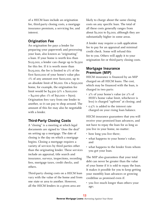of a HECM loan include an origination fee, third-party closing costs, a mortgage insurance premium, a servicing fee, and interest.

#### **Origination Fee**

An origination fee pays a lender for preparing your paperwork and processing your loan, also known as "originating" a loan. If your home is worth less than \$125,000, a lender can charge up to \$2,500 for this fee. If it is worth more than \$125,000, the fee is limited to 2% of the first \$200,000 of your home's value plus 1% of any amount over \$200,000, up to an absolute limit of \$6,000. On a \$250,000 home, for example, the origination fee limit would be \$4,500 (2% x \$200,000  $= $4,000 \text{ plus } 1\% \text{ of } $50,000 = $500$ . Origination fees vary from one lender to another, so it can pay to shop around. The amount of this fee may also be negotiable with a lender.

#### **Third-Party Closing Costs**

A "closing" is a meeting at which legal documents are signed to "close the deal" on setting up a mortgage. The date of closing is the day on which a mortgage begins. Closing a mortgage requires a variety of services by third parties other than the originating lender. These services include an appraisal, title search and insurance, surveys, inspections, recording fees, mortgage taxes, credit checks, and others.

Third-party closing costs on a HECM loan vary with the value of the home and from one state or area to another. However, all the HECM lenders in a given area are

likely to charge about the same closing costs on any specific loan. The total of all these costs generally ranges from about \$2,000 to \$3,000, although they are substantially higher in some areas.

A lender may require a cash application fee to pay for an appraisal and minimal credit check. Some will refund this fee to you. Others will apply it to your origination fee or third-party closing costs.

#### **Mortgage Insurance Premium (MIP)**

HECM insurance is financed by an MIP charged on all HECM loans. The cost, which may be financed with the loan, is charged in two parts:

- 2% of your home's value (or 2% of HUD's home value limit, whichever is less) is charged "upfront" at closing; and
- $\cdot$  0.5% is added to the interest rate charged on your rising loan balance.

HECM insurance guarantees that you will receive your promised loan advances, and not have to repay the loan for as long as you live in your home, no matter:

- how long you live there;
- what happens to your home's value; and
- what happens to the lender from whom you got your loan.

The MIP also guarantees that your total debt can never be greater than the value of your home if it is sold to repay the loan. It makes it possible for you to keep getting your monthly loan advances or growing creditline as promised even if:

• you live much longer than others your age;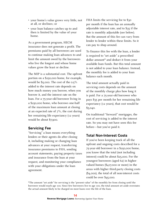- your home's value grows very little, not at all, or declines; or
- your loan balance catches up to and then is limited by the value of your home.

As a government program, HECM insurance does not generate a profit. The premiums paid by all borrowers are used to continue making loan advances to and limit the amount owed by the borrowers who live the longest and whose home values grow the least or decline.

The MIP is a substantial cost. The upfront portion on a \$250,000 home, for example, would be \$5,000. The cost of the 0.5% added to the interest rate depends on how much money you borrow, when you borrow it, and the interest rate on the loan. For a 75-year-old borrower living in a \$250,000 home, who borrows one-half of the maximum loan amount at closing at an expected rate of  $7\%$ , the cost during her remaining life expectancy (12 years) would be about \$7,900.

#### **Servicing Fee**

"Servicing" a loan means everything lenders or their agents do after closing it, including making or changing loan advances at your request, transferring insurance premiums to FHA, sending account statements, paying property taxes and insurance from the loan at your request, and monitoring your compliance with your obligations under the loan agreement.

FHA limits the servicing fee to \$30 per month if the loan has an annually adjustable interest rate, and to \$35 if the rate is monthly adjustable (see below). But the amount of this fee can vary from lender to lender within these limits. So it can pay to shop around.

To finance this fee with the loan, a lender is required to "set aside" a prescribed dollar amount\* and deduct it from your available loan funds. But this total amount is not added to your loan balance. Instead, the monthly fee is added to your loan balance each month.

The total amount actually paid in servicing costs depends on the amount of the monthly charge plus how long it is paid. For a 75-year-old borrower who pays \$35 per month for her remaining life expectancy (12 years), that cost would be \$5,040.

On traditional "forward" mortgages, the cost of servicing is added to the interest rate. So you may not have seen this fee before—but you've paid it.

#### **Total Non-Interest Costs**

If you've been keeping track of all the upfront and ongoing costs described for a 75-year-old borrower in a \$250,000 home, you know that the total (not including interest) could be about \$25,000. For the youngest borrowers (aged 62) in highervalued homes (\$417,000 or more) in the areas with higher third-party closing costs (\$4,000), the total of all non-interest costs could be over \$45,000.

\*The amount "set aside" for servicing is the "present value" of the monthly fee from closing until the borrower would reach age 100. Since few borrowers live to age 100, the total amount set aside overstates the actual amount likely to be charged on most loans over the life of the loan.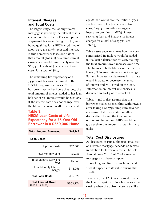## **Interest Charges and Total Costs**

The largest single cost of any reverse mortgage is generally the interest that is charged on these loans. For example, a 75-year-old borrower living in a \$250,000 home qualifies for a HECM creditline of about \$135,484 at 7% expected interest. If this homeowner takes one-half of that amount  $(\frac{6}{7,742})$  as a lump sum at closing, she would immediately owe that \$67,742 plus about \$12,000 in upfront costs, for a total of \$89,742.

The remaining life expectancy of a 75-year-old borrower assumed in the HECM program is 12 years. If this borrower lives in her home that long, the total amount of interest added to her loan balance at 7% interest would be \$111,056 if the interest rate does not change over the life of the loan. So after 12 years, at

#### **Table 3: HECM Loan Costs at Life Expectancy for a 75-Year-Old Borrower in a \$250,000 Home**

| <b>Total Amount Borrowed</b>               | \$67,742  |
|--------------------------------------------|-----------|
| Loan Costs                                 |           |
| <b>Upfront Costs</b>                       | \$12,000  |
| <b>Total Monthly MIPs</b>                  | \$7,933   |
| <b>Total Monthly Servicing</b><br>Fees     | \$5,040   |
| <b>Total Monthly Interest</b><br>Charges   | \$111,056 |
| <b>Total Loan Costs</b>                    | \$136,029 |
| <b>Total Amount Owed</b><br>(Loan Balance) | \$203,771 |

age 87, she would owe the initial \$67,742 she borrowed plus \$12,000 in upfront costs, \$7,933 in monthly mortgage insurance premiums (MIPs), \$5,040 in servicing fees, and \$111,056 in interest charges for a total of \$203,771 (see Table 3).

Table 4 (see page 16) shows how the costs summarized in Table 3 would be added to the loan balance year by year, making the total amount owed increase over time. The figures in both tables assume that the loan's 7% interest rate would not change. But any increases or decreases in that rate would increase or decrease the amount of interest and MIP owed on the loan. Information on interest rate choices is discussed in Part 5 of this booklet.

Tables 3 and 4 also assume that the borrower makes no creditline withdrawals after taking a \$67,742 lump sum advance at closing. If she does take creditline draws after closing, the total amount of interest charges and MIPs would be greater than the amounts shown in these tables.

## **Total Cost Disclosures**

As discussed in Part 2, the true, total cost of a reverse mortgage depends on factors in addition to its various costs. The Total Annual Loan Cost (TALC) of a reverse mortgage also depends upon:

- how long you live in your home; and
- what happens to its value during that time.

In general, the TALC rate is greatest when the loan is repaid within a few years after closing when the upfront costs are still a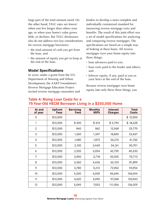large part of the total amount owed. On the other hand, TALC rates are lowest when you live longer than others your age, or when your home's value grows little, or declines. But TALC disclosures also do not address two key considerations for reverse mortgage borrowers:

- the total amount of cash you get from the loan; and
- the amount of equity you get to keep at the end of the loan.

#### **Model Specifications**

In 2000, under a grant from the U.S. Department of Housing and Urban Development, the AARP Foundation's Reverse Mortgage Education Project invited reverse mortgage counselors and lenders to develop a more complete and individually customized standard for measuring reverse mortgage costs and benefits. The result of this joint effort was a set of model specifications for analyzing and comparing reverse mortgages. The specifications are based on a simple way of looking at these loans. All reverse mortgages turn your home equity into three things:

- loan advances paid to you;
- loan costs paid to the lender and others; and
- leftover equity, if any, paid to you or your heirs at the end of the loan.

Because reverse mortgages turn home equity into only these three things, you

| At end<br>of year | <b>Upfront</b><br><b>Fees</b> | <b>Servicing</b><br><b>Fees</b> | <b>Monthly</b><br><b>MIPs</b> | <b>Interest</b><br><b>Charges</b> | <b>Total</b><br><b>Costs</b> |
|-------------------|-------------------------------|---------------------------------|-------------------------------|-----------------------------------|------------------------------|
| $\overline{0}$    | \$12,000                      |                                 |                               |                                   | \$12,000                     |
| 1                 | \$12,000                      | \$420                           | \$414                         | \$5,794                           | \$18,628                     |
| $\overline{2}$    | \$12,000                      | 840                             | 862                           | 12,068                            | 25,770                       |
| 3                 | \$12,000                      | 1,260                           | 1,347                         | 18,860                            | 33,467                       |
| 4                 | \$12,000                      | 1,680                           | 1,872                         | 26,210                            | 41,762                       |
| 5                 | \$12,000                      | 2,100                           | 2,440                         | 34,161                            | 50,701                       |
| 6                 | \$12,000                      | 2,520                           | 3,054                         | 42,759                            | 60,333                       |
| $\overline{7}$    | \$12,000                      | 2,940                           | 3,718                         | 52,055                            | 70,713                       |
| 8                 | \$12,000                      | 3,360                           | 4,436                         | 62,103                            | 81,899                       |
| 9                 | \$12,000                      | 3,780                           | 5,212                         | 72,962                            | 93,954                       |
| 10                | \$12,000                      | 4,200                           | 6,050                         | 84,694                            | 106,944                      |
| 11                | \$12,000                      | 4,620                           | 6,955                         | 97,368                            | 120,943                      |
| 12                | \$12,000                      | 5,040                           | 7,933                         | 111,056                           | 136,029                      |

#### **Table 4: Rising Loan Costs for a 75-Year-Old HECM Borrower Living in a \$250,000 Home**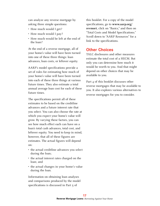can analyze any reverse mortgage by asking three simple questions:

- How much would I get?
- How much would I pay?
- How much would be left at the end of the loan?

At the end of a reverse mortgage, all of your home's value will have been turned into one of these three things: loan advances, loan costs, or leftover equity.

AARP's model specifications provide a set of rules for estimating how much of your home's value will have been turned into each of these three things at various future times. They also estimate a total annual average loan cost for each of these future times.

The specifications permit all of these estimates to be based on the creditline advances and a future interest rate that you select. You can also choose the rate at which you expect your home's value will grow. By varying these factors, you can see how much effect each can have on a loan's total cash advances, total cost, and leftover equity. You need to keep in mind, however, that all of these figures are estimates. The actual figures will depend on:

- the actual creditline advances you select during the loan;
- the actual interest rates charged on the loan; and
- the actual changes in your home's value during the loan.

Information on obtaining loan analyses and comparisons produced by the model specifications is discussed in Part 5 of

this booklet. For a copy of the model specifications, go to **[www.aarp.org/](http://www.aarp.org/revmort) [revmort](http://www.aarp.org/revmort)**, click on "Basics," and then on "Total Costs and Model Specifications." Scroll down to "AARP Resources" for a link to the specifications.

#### **Other Choices**

TALC disclosures and other measures estimate the total cost of a HECM. But only you can determine how much it would be worth to you. And that might depend on other choices that may be available to you.

Part 4 of this booklet discusses other reverse mortgages that may be available to you. It also explores various alternatives to reverse mortgages for you to consider.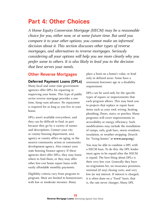## **Part 4: Other Choices**

*A Home Equity Conversion Mortgage (HECM) may be a reasonable choice for you, either now, or at some future time. But until you compare it to your other options, you cannot make an informed decision about it. This section discusses other types of reverse mortgages, and alternatives to reverse mortgages. Seriously considering all your options will help you see more clearly why you prefer some to others. It is also likely to lead you to the decision that best serves your needs.* 

## **Other Reverse Mortgages**

#### **Deferred Payment Loans (DPLs)**

Many local and some state government agencies offer DPLs for repairing or improving your home. This type of public sector reverse mortgage provides a onetime, lump sum advance. No repayment is required for as long as you live in your home.

DPLs aren't available everywhere, and they can be difficult to find, in part because they go by a variety of names and descriptions. Contact your city or county housing department, area agency or county office on aging, or the nearest community action or community development agency. Also contact your state housing finance agency. If these agencies don't offer DPLs, they may know where to find them, or they may offer other low-cost home repair loans with easily affordable monthly payments.

Eligibility criteria vary from program to program. Most are limited to homeowners with low or moderate incomes. Many

place a limit on a home's value, or lend only in defined areas. Some have a minimum borrower age or a disability requirement.

DPLs can be used only for the specific types of repairs or improvements that each program allows. This may limit you to projects that replace or repair basic items such as your roof, wiring, heating, plumbing, floors, stairs, or porches. Many programs will cover improvements in accessibility or energy efficiency. Such modifications may include the installation of ramps, rails, grab bars, storm windows, insulation, or weather-stripping. (Search for "fixing homes" at **www.aarp.org**.)

You may be able to combine a DPL with a HECM loan. To do this, the DPL lender must agree to be repaid after the HECM is repaid. The best thing about DPLs is their very low cost. Generally they have no origination fee, no insurance premium, minimal (if any) closing costs, and very low (or no) interest. If interest is charged, it is often done on a "fixed" basis, that is, the rate never changes. Many DPL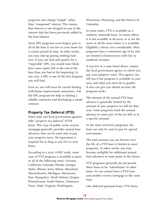programs also charge "simple" rather than "compound" interest. This means that interest is not charged on any of the interest that has been previously added to the loan balance.

Some DPL programs even forgive part or all of the loan if you live in your home for a certain period of time. In other words, you may end up paying nothing back ever. If you can find and qualify for a "forgivable" DPL, you would most likely have more equity left at the end of the loan than you had at the beginning. In any case, a DPL is one of the best bargains you will find.

Even so, you still must be careful dealing with home improvement contractors. Ask the DPL program for help in finding a reliable contractor and developing a sound contract.

## **Property Tax Deferral (PTD)**

Some state and local government agencies offer "property tax deferral" (PTD) loans. This type of public sector reverse mortgage generally provides annual loan advances that can be used only to pay your property taxes. No repayment is required for as long as you live in your home.

According to a 2007 AARP study, some type of PTD program is available in parts or all of the following states: Arizona, California, Colorado, Florida, Georgia, Idaho, Illinois, Iowa, Maine, Maryland, Massachusetts, Michigan, Minnesota, New Hampshire, North Dakota, Oregon, Pennsylvania, South Dakota, Tennessee, Texas, Utah, Virginia, Washington,

Wisconsin, Wyoming, and the District of Columbia.

In some states, PTD is available on a uniform, statewide basis. In many others, it is not available in all areas, or is not the same in all the areas where it is available. Eligibility criteria vary considerably. Most programs have a minimum age of 65 and are limited to homeowners with low or moderate incomes.

If you live in a state listed above, contact the local government agency to which you pay your property taxes. This agency can tell you if the program is available in your area, and what you must do to qualify. It also can give you details on how the program works.

The amount of the annual PTD loan advance is generally limited by the amount of your property tax bill for that year. Some programs limit the annual advance to some part of the tax bill, or to a specific amount.

In the most restrictive programs, the loan can only be used to pay for special assessments.

The total amount you can borrow over the life of a PTD loan is limited in most programs. In other words, you may become ineligible for additional annual loan advances at some point in the future.

PTD programs generally do not permit these loans to be "subordinate" to other loans. So you cannot have a PTD loan and another reverse mortgage at the same time.

Like deferred payment loans, PTD loans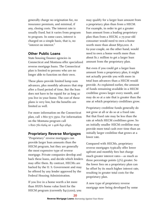generally charge no origination fee, no insurance premium, and minimal, if any, closing costs. The interest rate is usually fixed, but it varies from program to program. In some cases, interest is charged on a simple basis, that is, no "interest on interest."

## **Other Public Loans**

State housing finance agencies in Connecticut and Montana offer specialized reverse mortgage loans. The Connecticut plan is limited to persons who are no longer able to function on their own.

These plans provide limited lump sum advances, plus monthly advances that stop after a fixed period of time. But the loan does not have to be repaid for as long as you live in your home. The cost of these plans is very low, but the benefits are limited as well.

For more information on the Connecticut plan, call 1-860-571-3502. For information on the Montana program call 1-800-761-6264 or 1-406-841-2840.

## **Proprietary Reverse Mortgages**

"Proprietary" reverse mortgages can provide larger loan amounts than the HECM program, but they are generally the most expensive type of reverse mortgage. Private companies develop and back these loans, and decide which lenders may offer them. By contrast, HECMs are backed by the U. S. Government and may be offered by any lender approved by the Federal Housing Administration.

If you live in a home worth a lot more than HUD's home value limit for the HECM program (currently \$417,000), you may qualify for a larger loan amount from a proprietary plan than from a HECM. For example, in order to get a greater loan amount from a leading proprietary plan than from a HECM, a 75-year-old consumer would need to own a home worth more than about \$850,000. A 62-year-couple, on the other hand, would need to own a home worth more than about \$1.1 million to get a larger loan amount from the proprietary plan.

But even if you could get a larger loan amount from a proprietary plan, it might not actually provide you with more in total loan advances than a HECM would provide. As explained earlier, the amount of funds remaining available in a HECM creditline grows larger every month, and may do so at a rate that is greater than the one at which proprietary creditlines grow.

Proprietary creditline funds generally do not grow at all or do so at a fixed rate. But that fixed rate may be less than the rate at which HECM creditlines grow. So an initially smaller HECM creditline may provide more total cash over time than an initially larger creditline that grows at a lower rate.

Compared with HECMs, proprietary reverse mortgages typically offer lower upfront and monthly fees but charge much greater interest rates—as much as three percentage points (3%) greater. So the lower fees on a proprietary plan can be offset by its much higher interest rate, resulting in greater total costs for the proprietary plan.

A new type of proprietary reverse mortgage now being developed by some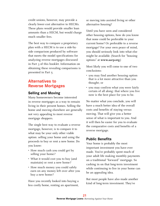credit unions, however, may provide a clearly lower-cost alternative to HECMs. These plans would provide smaller loan amounts than a HECM, but would charge much smaller fees.

The best way to compare a proprietary plan with a HECM is to use a side-byside comparison produced by software that meets the model specifications for analyzing reverse mortgages discussed in Part 3 of this booklet. Information on obtaining these revealing comparisons is presented in Part 5.

## **Alternatives to Reverse Mortgages**

#### **Selling and Moving**

Many homeowners become interested in reverse mortgages as a way to remain living in their present homes. Selling the home and moving elsewhere are generally not very appealing to most reverse mortgage shoppers.

The single best way to evaluate a reverse mortgage, however, is to compare it to what may be your only other viable option: selling your home and using the proceeds to buy or rent a new home. Do you know:

- How much cash you could get by selling your home?
- What it would cost you to buy (and maintain) or rent a new home?
- How much money you could safely earn on any money left over after you buy a new home?

Have you recently looked into buying a less costly home, renting an apartment,

or moving into assisted living or other alternative housing?

Until you have seen and considered other housing options, how do you know that none could be preferable to your current home? Or preferable to a reverse mortgage? For your own peace of mind, you should seriously look into what else might be available. (Search for "housing options" at **www.aarp.org**.)

Most likely you will come to one of two conclusions:

- you may find another housing option that is a lot more attractive than you thought; or
- you may confirm what you were fairly certain of all along: that where you live now is the best place for you to be.

No matter what you conclude, you will have a much better idea of the overall costs and benefits of staying versus moving. That will give you a better sense of what is important to you. And it will then be easier for you to evaluate the comparative costs and benefits of a reverse mortgage.

## **Public Benefits**

Your home is probably the most important investment you have ever made. You've probably spent much of your adult life making monthly payments on a traditional "forward" mortgage. So cashing in on that long-term investment while continuing to live in your home can be an appealing idea.

But most people have also made another kind of long-term investment. They've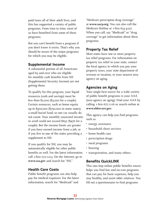paid taxes all of their adult lives, and this has supported a variety of public programs. From time to time, most of us have benefited from some of these programs.

But you can't benefit from a program if you don't know it exists. That's why you should be aware of the major programs for which you may be eligible.

#### **Supplemental Income**

A substantial portion of all Americans aged 65 and over who are eligible for monthly cash benefits from SSI (Supplemental Security Income) are not getting them.

To qualify for this program, your liquid resources (cash and savings) must be less than \$2,000 (\$3,000 for a couple). Certain resources, such as home equity up to \$500,000 (\$750,000 in some states), a small burial fund, or one car usually do not count. Your monthly unearned income in 2008 could not exceed \$657 (\$976 for a couple). But the income limits are greater if you have earned income from a job, or if you live in one of the states providing a supplement to SSI.

If you qualify for SSI, you may be automatically eligible for other public benefits as well. For the latest information, call 1-800-772-1213. On the Internet, go to **<www.ssa.gov>** and search for "SSI."

## **Health Care Costs**

Public benefit programs can also help pay for medical expenses. For the latest information, search for "Medicaid" and

"Medicare prescripton drug coverage" at **www.aarp.org**. You can also call the Medicare Hotline at 1-800-633-4227. When you call, say "Medicaid" or "drug coverage" to get information about these programs.

## **Property Tax Relief**

Most states have one or more property tax relief programs. For information on property tax relief in your state, contact the local agency to which you pay your property taxes, your state department of revenue or taxation, or your nearest area agency on aging.

## **Agencies on Aging**

Your single best source for a wide variety of public benefit programs is your AAA (area agency on aging). Find your AAA by calling 1-800-677-1116 or search online at **<www.eldercare.gov>**.

This agency can help you find programs such as

- energy assistance
- household chore services
- home health care
- prescription drugs
- meal programs
- housing
- transportation, and many others.

#### **Benefits QuickLINK**

This one-stop online public benefits source helps you find low and no-cost programs that can pay for basic expenses, help you stay healthy, and assist older relatives. You fill out a questionnaire to find programs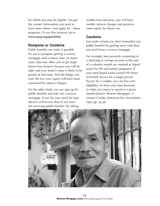for which you may be eligible. You get the contact information you need to learn more about—and apply for—these programs. To use this resource, go to **www.aarp.org/quicklink**.

#### **Postpone or Combine**

Public benefits can make it possible for you to postpone getting a reverse mortgage until a future time. In many cases, that may allow you to get larger future loan dvances because you will be older and your home's value is likely to be greater at that time. And the longer you wait, the less your equity will have been consumed by interest charges.

On the other hand, you can sign up for public benefits and take out a reverse mortgage. If you do, your need for loan advaces will be less than if you were not receiving public benefits. By taking

smaller loan advances, you will have smaller interest charges and preserve more equity for future use.

#### **Cautions**

Just make certain you don't jeopardize any public benefits by getting more cash than you need from a reverse mortgage.

For example, loan proceeds remaining in a checking or savings account at the end of a calendar month are counted as liquid assets by SSI and similar programs. If your total liquid assets exceed SSI limits (currently \$2,000 for a single person, \$3,000 for a couple), you can lose your eligibility. So limit your loan proceeds to what you expect to spend in a given month (*Source: Reverse Mortgages: A Lawyer's Guide*, American Bar Association, 1997, pp. 35-36).

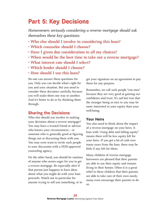## **Part 5: Key Decisions**

*Homeowners seriously considering a reverse mortgage should ask themselves these key questions:* 

- **Who else should I involve in considering this loan?**
- **Which counselor should I choose?**
- **Have I given due consideration to all my choices?**
- **When would be the best time to take out a reverse mortgage?**
- **What interest rate should I select?**
- **Which lender should I choose?**
- **How should I use this loan?**

No one can answer these questions for you. Only you can decide what's right for you and your situation. But you need to consider these decisions carefully, because you will make them one way or another. And it's better to do so by thinking them through.

## **Sharing the Decisions**

Who else should you involve in making your decisions about a reverse mortgage? You may have a trusted friend or advisor who knows your circumstances—or someone who is generally good at figuring things out or discussing them with you. You may even want to invite such people to your discussion with a HUD-approved counseling agency.

On the other hand, you should be cautious of anyone who seems eager for you to get a reverse mortgage. Be especially alert if that person just happens to have ideas about what you might do with your loan proceeds. Watch out in particular for anyone trying to sell you something, or to

get your signature on an agreement to pay them for any purpose.

Remember, we call such people "con men" because they are very good at gaining our confidence and trust. It's sad but true that the stranger being so nice to you may be more interested in your equity than your well-being.

#### **Your Heirs**

You also need to think about the impact of a reverse mortgage on your heirs. A loan with "rising debt and falling equity" means there will be less equity left for your heirs. If you get a lot of cash over many years from the loan, there may be little if any left for them.

Many children of reverse mortgage borrowers are pleased that their parents are able to use their equity and remain living in their homes. Often it is a great relief to these children that their parents are able to take care of their own needs; many even encourage their parents to do so.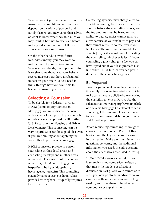Whether or not you decide to discuss this matter with your children or other heirs depends on a variety of personal and family factors. You may value their advice or want to know what they think. Or you may think it best not to discuss it before making a decision, or not to tell them after you have closed a loan.

On the other hand, to avoid future misunderstanding, you may want to make a note of your decision in your will. Whatever you decide, the important thing is to give some thought to your heirs. A reverse mortgage can have a substantial impact on your estate. So you need to think through how you want this to become known to your heirs.

## **Selecting a Counselor**

To be eligible for a federally insured HECM (Home Equity Conversion Mortgage), you must discuss the loan with a counselor employed by a nonprofit or public agency approved by HUD (the U. S. Department of Housing and Urban Development). This counseling can be very helpful. So it can be a good idea even if you are thinking about applying for some other type of reverse mortgage.

HECM counselors provide in-person counseling in their local areas, and counseling by telephone in other areas nationwide. For current information on requesting HECM counseling, go to **[https://entp.hud.gov/idapp/html/](https://entp.hud.gov/idapp/html/hecm_agency_look.cfm) [hecm\\_agency\\_look.cfm](https://entp.hud.gov/idapp/html/hecm_agency_look.cfm)**. This counseling generally takes at least one hour. When provided by telephone, it typically requires two or more calls.

Counseling agencies may charge a fee for HECM counseling, but they must tell you about it before the counseling occurs, and the fee amount must be based on your ability to pay. Agencies cannot turn you away because of your inability to pay, and they cannot refuse to counsel you if you fail to pay. The maximum allowable fee in 2008 is \$125 or the actual cost of providing the counseling, whichever is less. If your counseling agency charges a fee, you can have it paid out of your loan proceeds just like other HECM fees, or you can pay it directly to the counseling agency.

## **Be Prepared**

However you request counseling, prepare for it carefully. If you are interested in a HECM, make certain you are eligible by re-checking the eligibility criteria in Part 3. Use the calculator at **[www.aarp.org/revmort](http://rmc.ibisreverse.com/rmc_pages/rmc_aarp/aarp_index.aspx)** (click on "[Reverse Mortgage Calculator"](http://rmc.ibisreverse.com/rmc_pages/rmc_aarp/aarp_index.aspx)) to see if you can get the amount of cash you need to pay off any current debt on your home, and for other purposes.

Before requesting counseling, thoroughly consider the questions in Part 1 of this booklet and the key decisions discussed in this section. Make a written list of your questions, concerns, and the additional information you need. Include questions about the alternatives discussed in Part 4.

HUD's HECM network counselors use loan analysis and comparison software that meets the model specifications discussed in Part 3. Ask your counselor to send you loan printouts in advance so you can review them before your counseling session, and have them in hand when your counselor explains them.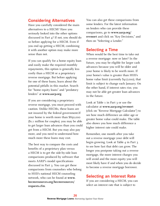## **Considering Alternatives**

Have you carefully considered the main alternatives to a HECM? Have you seriously looked into the other options discussed in Part 4? If not, you should do so before applying for a HECM. Even if you end up getting a HECM, combining it with another option may make more sense than not.

If you can qualify for a home equity loan and easily make the required monthly repayments, this option is generally less costly than a HECM or a proprietary reverse mortgage. But before applying for one of these loans, learn about the potential pitfalls in this market. Search for "home equity loans" and "predatory lenders" at **www.aarp.org**.

If you are considering a proprietary reverse mortgage, you must proceed with caution. Unlike HECMs, these loans are not insured by the federal government.If your home is worth more than \$850,000 (\$1.1 million for couples), you may be able to get larger loan advances than you could get from a HECM. But you may also pay more, and you need to understand how much more these loans may cost.

The best way to compare the costs and benefits of a proprietary plan versus a HECM is to get the side-by-side loan comparisons produced by software that meets AARP's model specifications discussed in Part 3. You can get these comparisons from counselors who belong to HUD's national HECM counseling network, who can be found at **[www.](http://www.hecmresources.org/hecmresources/requests.cfm) [hecmresources.org/hecmresources/](http://www.hecmresources.org/hecmresources/requests.cfm) [requests.cfm](http://www.hecmresources.org/hecmresources/requests.cfm)**.

You can also get these comparisons from some lenders. For the latest information on lenders who can provide these comparisons, go to **[www.aarp.org/](http://www.aarp.org/revmort) [revmort](http://www.aarp.org/revmort)** and click on "Key Decisions," and then on "Selecting a Lender."

## **Selecting a Time**

When would be the best time to take out a reverse mortgage: now or later? In the future, you may be eligible for larger cash advances because you will be older and your home is likely to be worth more. If your home's value is greater than HUD's home value limit (currently \$417,000), that limit is subject to change each January. On the other hand, if interest rates rise, you may not be able get greater loan advances in the future.

Look at Table 1 in Part 3 or use the calculator at **[www.aarp.org/revmort](http://rmc.ibisreverse.com/rmc_pages/rmc_aarp/aarp_index.aspx)** (click on ["Reverse Mortgage Calculator](http://rmc.ibisreverse.com/rmc_pages/rmc_aarp/aarp_index.aspx)") to see how much difference an older age or greater home value could make. The table also shows you how much difference a higher interest rate could make.

Remember, one month after you take out a reverse mortgage your debt will begin growing. Look at Table 4 in Part 3 to see how fast that debt can grow. The longer you postpone taking out a reverse mortgage, the more interest charges you will avoid and the more equity you will most likely have if and when you do decide to become a reverse mortgage borrower.

## **Selecting an Interest Rate**

If you are considering a HECM, you can select an interest rate that is subject to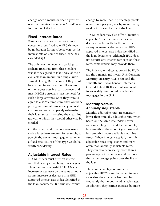change once a month or once a year, or one that remains the same (a "fixed" rate) for the life of the loan.

#### **Fixed Interest Rates**

Fixed rate loans are attractive to most consumers, but fixed rate HECMs may be no bargain for most borrowers, as the interest rate on some of these loans has exceeded 15%.

The only way homeowners could get a realistic fixed rate from these lenders was if they agreed to take 100% of their available loan amount in a single lump sum at closing. But this meant they would be charged interest on the full amount of the largest possible loan advance, and most HECM borrowers have no need for such a large advance. So if they were to agree to a 100% lump sum, they would be paying substantial unnecessary interest charges and—by completely exhausting their loan amounts—losing the creditline growth to which they would otherwise be entitled.

On the other hand, if a borrower needs such a large loan amount, for example, to pay off the current mortgage on a home, a fixed rate HECM of this type would be worth considering.

## **Adjustable Interest Rates**

HECM lenders must offer an interest rate that is subject to change once a year. These "annually-adjustable" HECMs can increase or decrease by the same amount as any increase or decrease in a HUDapproved interest rate index identified in the loan documents. But this rate cannot

change by more than 2 percentage points up or down per year, nor by more than 5 total points over the life of the loan,

HECM lenders may also offer a "monthlyadjustable" rate that may increase or decrease each month by the same rate as any increase or decrease in a HUDapproved interest rate index identified in the loan documents. Although HUD does not require any interest rate caps on these rates, some lenders may provide them.

The index rate indices approved by HUD are the 1-month and 1-year U. S. Constant Maturity Treasury (CMT) rate and the 1-month and 1-year London Interbank Offered Rate (LIBOR), an international index widely used for adjustable rate mortgages in the U. S.

## **Monthly Versus Annually Adjustable**

Monthly adjustable rates are generally lower than annually adjustable rates when based on the same rate index. Lower rates mean larger HECM loan amounts, less growth in the amount you owe, and less growth in your available creditline funds. When interest rates fall, monthly adjustable rates drop sooner and more often than annually adjustable rates. They can also decrease by more than 2 percentage points per year and by more than 5 percentage points over the life of the loan.

The main advantage of annually adjustable HECMs are that when interest rates rise, they increase later and less frequently than monthly adjustable rates. In addition, they cannot increase by more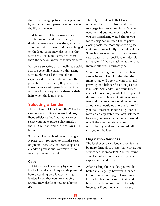than 2 percentage points in any year, and by no more than 5 percentage points over the life of the loan.

To date, most HECM borrowers have selected monthly adjustable rates, no doubt because they prefer the greater loan amounts and the lower initial rate charged on the loan. Some may also believe that rates are unlikely to increase by more than the caps on annually adjustable rates.

Borrowers selecting an annually adjustable rate are generally concerned that rising rates might exceed the annual rate's caps for extended periods. Without the protection of these caps, they fear, their loans balances will grow faster, so there will be a lot less equity for them or their heirs when the loan is over.

## **Selecting a Lender**

The most complete lists of HECM lenders can be found online at **[www.hud.gov/](http://www.hud.gov/ll/code/llslcrit.cfm) [ll/code/llslcrit.cfm](http://www.hud.gov/ll/code/llslcrit.cfm)**. Enter your city or select your state, place a checkmark in the "HECM" box, and click the "SUBMIT" button.

But which lender should you use to get a HECM loan? You need to consider cost, origination services, loan servicing, and a lender's professional commitment to meeting consumer needs.

#### **Cost**

HECM loan costs can vary by a lot from lender to lender, so it pays to shop around before deciding on a lender. Letting lenders know that you are shopping around may also help you get a better deal.

The only HECM costs that lenders do not control are the upfront and monthly mortgage insurance premiums. So you need to find out how much each lender you are considering would charge you for the origination fee, all third-party closing costs, the monthly servicing fee, and—most importantly—the interest rate. Some lenders may say that their interest rate is based on a specific rate index plus a "margin." If they do, ask what the actual interest rate would currently be.

When comparing the cost of loan fees versus interest, keep in mind that the interest rate will apply to your total and growing loan balance for as long as the loan lasts. Ask lenders and your HECM counselor to show you what the impact of different available combinations of loan fees and interest rates would be on the amount you would owe in the future. If you are concerned about rising interest rates on an adjustable rate loan, ask them to show you how much more you would owe if the average rate on your loan would be higher than the rate initially charged on the loan.

## **Origination Services**

The level of service a lender provides may be more difficult to assess than cost is, but service can be important. You will want your loan officer to be knowledgeable, experienced, and respectful.

After reading this booklet, you will be better able to gauge how well a lender knows reverse mortgages. How long a lender has been offering HECMs and in how many places may be particularly important if your loan runs into any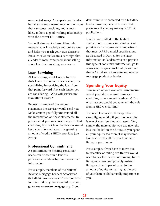unexpected snags. An experienced lender has already encountered most of the issues that can cause problems, and is most likely to have a good working relationship with the nearest HUD office.

You will also want a loan officer who respects your knowledge and preferences and helps you reach your own decisions. Pressure sales tactics are a sure sign that a lender is more concerned about selling you a loan than meeting your needs.

#### **Loan Servicing**

At loan closing, most lenders transfer their loans to another office or company specializing in servicing the loan from that point forward. Ask each lender you are considering: "Who will service my loan after it closes?"

Request a sample of the account statements the servicer would send you. Make certain you fully understand all the information on these statements. In particular, if you are considering a HECM creditline, find out how the servicer would keep you informed about the growing amount of credit a HECM provides (see Part 3).

#### **Professional Commitment**

A commitment to meeting consumer needs can be seen in a lender's professional relationships and consumer information.

For example, members of the National Reverse Mortgage Lenders Association (NRMLA) have developed "best practices" for their industry. For more information, go to **<www.reversemortgage.org>**. If you

don't want to be contacted by a NRMLA lender, however, be sure to state that preference if you request any NRMLA publications.

Lenders committed to the highest standard of consumer information can provide loan analyses and comparisons that meet AARP's model specifications as discussed in Part 3. For the latest information on lenders who can provide this type of consumer information, go to **www.aarp.org/revmort**. But please note that AARP does not endorse any reverse mortgage product or lender.

## **Spending Your Equity**

How much of your available loan amount would you take as a lump sum, as a creditline, or as a monthly advance? For what reasons would you take withdrawals from a HECM creditline?

You need to consider these questions carefully, especially if your home equity is one of your few financial assets. Very simply, the more equity you use now, the less will be left in the future. If you spend all your equity too soon, it may become financially difficult for you to remain living in your home.

For example, if you have to move due to disability or failing health, you would need to pay for the cost of moving, future living expenses, and possibly assisted living or other types of care. So the amount of equity remaining at the end of your loan could be vitally important to you.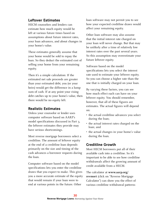## **Leftover Estimates**

HECM counselors and lenders can estimate how much equity would be left at various future times based on assumptions about future interest rates, your loan advances, and about changes in your home's value.

These estimates generally assume that your home would be sold to repay the loan. So they deduct the estimated cost of selling your home from your remaining equity.

Then it's a simple calculation: If the estimated net sale proceeds are greater than your estimated debt, you (or your heirs) would get the difference in a lump sum of cash. If at any point your rising debt catches up to your home's value, then there would be no equity left.

#### **Realistic Estimates**

Unless your counselor or lender uses computer software based on AARP's model specifications discussed in Part 3, the leftover estimates they provide may have serious shortcomings.

Most reverse mortgage borrowers select a creditline. The amount of leftover equity at the end of a creditline loan depends primarily on the size and timing of the cash advances a borrower requests during the loan.

Computer software based on the model specifications lets you enter the creditline draws that you expect to make. This gives you a more accurate estimate of the equity that would remain if your loan were to end at various points in the future. Other

loan software may not permit you to see how your expected creditline draws would affect your remaining equity.

Other loan software may also assume that the initial interest rate charged on your loan will never change. But that may be unlikely after a time of relatively low interest rates over the past several years. So this assumption may overestimate your future leftover equity.

Software based on the model specifications lets you select the interest rate used to estimate your leftover equity. So you can choose a higher rate than the one that is initially charged on your loan.

By varying these factors, you can see how much effect each can have on your leftover equity. You should remember, however, that all of these figures are estimates. The actual figures will depend on:

- the actual creditline advances you select during the loan;
- the actual interest rates charged on the loan; and
- the actual changes in your home's value during the loan.

#### **Creditline Growth**

Most HECM borrowers put all of their available cash into a creditline. So it's important to be able to see how creditline withdrawals affect the growing amount of credit available from a HECM.

The [calculator](http://rmc.ibisreverse.com/rmc_pages/rmc_aarp/aarp_index.aspx) at **[www.aarp.org/](http://rmc.ibisreverse.com/rmc_pages/rmc_aarp/aarp_index.aspx) [revmort](http://rmc.ibisreverse.com/rmc_pages/rmc_aarp/aarp_index.aspx)** (click on ["Reverse Mortgage](http://rmc.ibisreverse.com/rmc_pages/rmc_aarp/aarp_index.aspx)  [Calculator](http://rmc.ibisreverse.com/rmc_pages/rmc_aarp/aarp_index.aspx)") can show you the effect of various creditline withdrawal patterns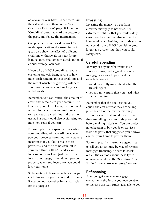on a year-by-year basis. To see them, run the calculator and then on the "Loan Calculator Estimates" page click on the "Creditline" button toward the bottom of the page, and follow the instructions.

Computer software based on AARP's model specifications discussed in Part 3 can also show the effect of different creditline withdrawals on your future loan balance, total amount owed, and total annual average loan cost.

If you take a HECM creditline, keep an eye on its growth. Being aware of how much cash remains in your creditline and the rate at which it is growing will help you make decisions about making cash withdrawals.

Remember, you can control the amount of credit that remains in your account. The less cash you take out now, the more will remain for later. It doesn't make much sense to set up a creditline and then not use it. But you should also avoid using too much too soon if you can.

For example, if you spend all the cash in your creditline, will you still be able to pay your property taxes and homeowner's insurance? If you fail to make these payments, and there is no cash left in your creditline, a HECM lender can foreclose on your loan. Just like with a forward mortgage, if you do not pay your property taxes and insurance, you could lose your home.

So be certain to leave enough cash in your creditline to pay your taxes and insurance if you do not have other funds available for this purpose.

## **Investing**

Investing the money you get from a reverse mortgage is not wise. It is extremely unlikely that you could safely earn more from an investment than the loan would cost. Besides, the funds you do not spend from a HECM creditline grow larger at a greater rate than you could safely earn.

## **Careful Spending**

Be wary of anyone who wants to sell you something, and suggests a reverse mortgage as a way to pay for it. Be especially wary if

- you do not fully understand what they are selling; or
- you are not certain that you need what they are selling.

Remember that the total cost to you equals the cost of what they are selling plus the cost of the reverse mortgage. If you conclude that you do need what they are selling, be sure to shop around before making a decision. You are under no obligation to buy goods or services from the party that suggested you borrow against your home to pay for them.

For example, if an insurance agent tries to sell you an annuity by way of reverse mortgage financing, be sure to check out all the cautions about these types of arrangements on the "Spending Your Equity" page at **www.aarp.org/revmort**.

## **Refinancing**

After you get a reverse mortgage, sometime in the future you may be able to increase the loan funds available to you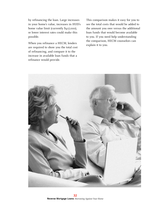by refinancing the loan. Large increases in your home's value, increases in HUD's home value limit (currently \$417,000), or lower interest rates could make this possible.

When you refinance a HECM, lenders are required to show you the total cost of refinancing, and compare it to the increase in available loan funds that a refinance would provide.

This comparison makes it easy for you to see the total costs that would be added to the amount you owe versus the additional loan funds that would become available to you. If you need help understanding the comparison, HECM counselors can explain it to you.

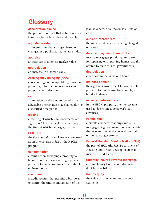## **Glossary**

#### **acceleration clause**

the part of a contract that defines when a loan may be declared due and payable

#### **adjustable rate**

an interest rate that changes, based on changes in a published market-rate index

#### **appraisal**

an estimate of a home's market value

**appreciation** an increase in a home's value

#### **Area Agency on Aging (AAA)**

a local or regional nonprofit organization providing information on services and programs for older adults

#### **cap**

a limitation on the amount by which an adjustable interest rate may change during a specified time period

#### **closing**

a meeting at which legal documents are signed to "close the deal" on a mortgage; the time at which a mortgage begins

#### **CMT rate**

the Constant Maturity Treasury rate, used as an interest rate index in the HECM program

#### **condemnation**

a court action adjudging a property to be unfit for use, or converting a private property to public use under the right of eminent domain

#### **creditline**

a credit account that permits a borrower to control the timing and amount of the

loan advances; also known as a "line-ofcredit"

#### **current interest rate**

the interest rate currently being charged on a loan

#### **deferred payment loans (DPLs)**

reverse mortgages providing lump sums for repairing or improving homes, usually offered by state or local governments

#### **depreciation**

a decrease in the value of a home

#### **eminent domain**

the right of a government to take private property for public use, for example, to build a highway

#### **expected interest rate**

in the HECM program, the interest rate used to determine a borrower's loan advances

#### **Fannie Mae**

a private company that buys and sells mortgages; a government-sponsored entity that operates under the general oversight of the federal government

#### **Federal Housing Administration (FHA)**

the part of HUD (the U.S. Department of Housing and Urban Development) that insures HECM loans

#### **federally insured reverse mortgage**

a Home Equity Conversion Mortgage (HECM) (see below)

#### **home equity**

the value of a home, minus any debt against it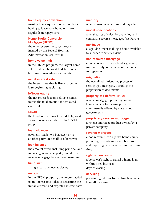#### **home equity conversion**

turning home equity into cash without having to leave your home or make regular loan repayments

#### **Home Equity Conversion Mortgage (HECM)**

the only reverse mortgage program insured by the Federal Housing Administration (see Part 3)

#### **home value limit**

in the HECM program, the largest home value that can be used to determine a borrower's loan advance amounts

#### **initial interest rate**

the interest rate that is first charged on a loan beginning at closing

#### **leftover equity**

the net proceeds from selling a home, minus the total amount of debt owed against it

#### **LIBOR**

the London Interbank Offered Rate, used as an interest rate index in the HECM program

#### **loan advances**

payments made to a borrower, or to another party on behalf of a borrower

#### **loan balance**

the amount owed, including principal and interest; generally capped (limited) in a reverse mortgage by a non-recourse limit

#### **lump sum**

a single loan advance at closing

#### **margin**

in the HECM program, the amount added to an interest rate index to determine the initial, current, and expected interest rates

#### **maturity**

when a loan becomes due and payable

#### **model specifications**

a detailed set of rules for analyzing and comparing reverse mortgages (see Part 3)

#### **mortgage**

a legal document making a home available to a lender to satisfy a debt

#### **non-recourse mortgage**

a home loan in which a lender generally may look only to the value of the home for repayment

#### **origination**

the overall administrative process of setting up a mortgage, including the preparation of documents

#### **property tax deferral (PTD)**

reverse mortgages providing annual loan advances for paying property taxes, usually offered by state or local governments

#### **proprietary reverse mortgage**

a reverse mortgage product owned by a private company

#### **reverse mortgage**

a non-recourse loan against home equity providing cash advances to a borrower and requiring no repayment until a future time

#### **right of rescission**

a borrower's right to cancel a home loan within three business days of closing

#### **servicing**

performing administrative functions on a loan after closing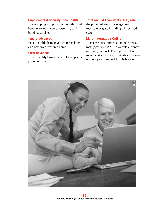#### **Supplemental Security Income (SSI)**

a federal program providing monthly cash benefits to low-income persons aged 65+, blind, or disabled

#### **tenure advances**

fixed monthly loan advances for as long as a borrower lives in a home

#### **term advances**

fixed monthly loan advances for a specific period of time

#### **Total Annual Loan Cost (TALC) rate**

the projected annual average cost of a reverse mortgage including all itemized costs

#### **More Information Online**

To get the latest information on reverse mortgages, visit AARP's website at **www. aarp.org/revmort**. There you will find more details and more up-to-date coverage of the topics presented in this booklet.

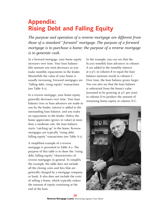## **Appendix: Rising Debt and Falling Equity**

*The purpose and operation of a reverse mortgage are different from those of a standard " forward" mortgage. The purpose of a forward mortgage is to purchase a home; the purpose of a reverse mortgage is to generate cash.*

In a forward mortgage, your home equity increases over time. Your loan balance (the amount you owe) decreases as you make monthly repayments to the lender. Meanwhile the value of your home is usually increasing. Forward mortgages are "falling debt, rising equity" transactions (see Table A-1).

In a reverse mortgage, your home equity generally decreases over time. Your loan balance rises as loan advances are made to you by the lender, interest is added to the outstanding loan balance, and you make no repayments to the lender. Unless the home appreciates (grows in value) at more than a moderate rate, the loan balance starts "catching up" to the home. Reverse mortgages are typically "rising debt, falling equity" transactions (see Table A-1).

A simplified example of a reverse mortgage is presented in Table A-2. The purpose of this table is to show the "rising debt, falling equity" characteristics of reverse mortgages in general. To simplify the example, the table does not include all the closing costs and fees that are generally charged by a mortgage company or bank. It also does not include the costs of selling a home, which typically reduce the amount of equity remaining at the end of the loan.

In the example, you can see that the \$1,000 monthly loan advances in column A are added to the monthly interest at 0.5% in column B to equal the loan balance (amount owed) in column C. Over time, the loan balance grows larger. You can also see that the loan balance is subtracted from the home's value (assumed to be growing at 4% per year) in column D to produce the amount of remaining home equity in column D-C.

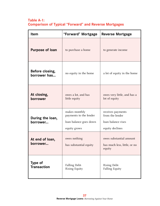## **Table A-1: Comparison of Typical "Forward" and Reverse Mortgages**

| <b>Item</b>                          | "Forward" Mortgage                                                                |                                                                               |
|--------------------------------------|-----------------------------------------------------------------------------------|-------------------------------------------------------------------------------|
| <b>Purpose of loan</b>               | to purchase a home                                                                | to generate income                                                            |
| Before closing,<br>borrower has      | no equity in the home                                                             | a lot of equity in the home                                                   |
| At closing,<br>borrower              | owes a lot, and has<br>little equity                                              | owes very little, and has a<br>lot of equity                                  |
| During the loan,<br>borrower         | makes monthly<br>payments to the lender<br>loan balance goes down<br>equity grows | receives payments<br>from the lender<br>loan balance rises<br>equity declines |
| At end of loan,<br>borrower          | owes nothing<br>has substantial equity                                            | owes substantial amount<br>has much less, little, or no<br>equity             |
| <b>Type of</b><br><b>Transaction</b> | <b>Falling Debt-</b><br><b>Rising Equity</b>                                      | <b>Rising Debt-</b><br><b>Falling Equity</b>                                  |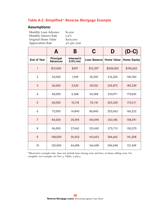## **Table A-2: Simplified\* Reverse Mortgage Example**

## **Assumptions:**

| Monthly Loan Advance     | \$1,000        |
|--------------------------|----------------|
| Monthly Interest Rate    | $0.5\%$        |
| Original Home Value      | \$200,000      |
| <b>Appreciation Rate</b> | $4\%$ per year |

|                    | A                            | Β                        |              | D                 | $(D-C)$            |
|--------------------|------------------------------|--------------------------|--------------|-------------------|--------------------|
| <b>End of Year</b> | Principal<br><b>Advances</b> | Interest@<br>$0.5\%/mo.$ | Loan Balance | <b>Home Value</b> | <b>Home Equity</b> |
| 1                  | \$12,000                     | \$397                    | \$12,397     | \$208,000         | \$195,602          |
| $\overline{2}$     | 24,000                       | 1,559                    | 25,559       | 216,320           | 190,760            |
| 3                  | 36,000                       | 3,532                    | 39,532       | 224,872           | 185,339            |
| 4                  | 48,000                       | 6,368                    | 54,368       | 233,971           | 179,602            |
| 5                  | 60,000                       | 10,118                   | 70,118       | 243,330           | 173,211            |
| 6                  | 72,000                       | 14,840                   | 86,840       | 253,063           | 166,222            |
| $\overline{7}$     | 84,000                       | 20,594                   | 104,594      | 263,186           | 158,591            |
| 8                  | 96,000                       | 27,442                   | 123,442      | 273,713           | 150,270            |
| 9                  | 108,000                      | 35,453                   | 143,453      | 284,662           | 141,208            |
| 10                 | 120,000                      | 44,698                   | 164,698      | 296,048           | 131,349            |

\*Illustrative example only; does not include loan closing costs and fees, or home selling costs. For complete cost example, see Part 3, Tables 3 and 4.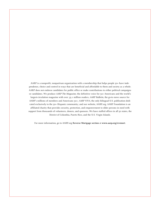AARP is a nonprofit, nonpartisan organization with a membership that helps people 50+ have independence, choice and control in ways that are beneficial and affordable to them and society as a whole. AARP does not endorse candidates for public office or make contributions to either political campaigns or candidates. We produce *AARP The Magazine*, the definitive voice for 50+ Americans and the world's largest-circulation magazine with over 35.1 million readers; *AARP Bulletin*, the go-to news source for AARP's millions of members and Americans 50+; *AARP VIVA*, the only bilingual U.S. publication dedicated exclusively to the 50+ Hispanic community; and our website, AARP.org. AARP Foundation is an affiliated charity that provides security, protection, and empowerment to older persons in need with support from thousands of volunteers, donors, and sponsors. We have staffed offices in all 50 states, the District of Columbia, Puerto Rico, and the U.S. Virgin Islands.

For more information, go to AARP.org **[Reverse Mortgage section](http://www.aarp.org/money/credit-loans-debt/reverse_mortgages/)** at **[www.aarp.org/revmort](http://www.aarp.org/revmort)**.